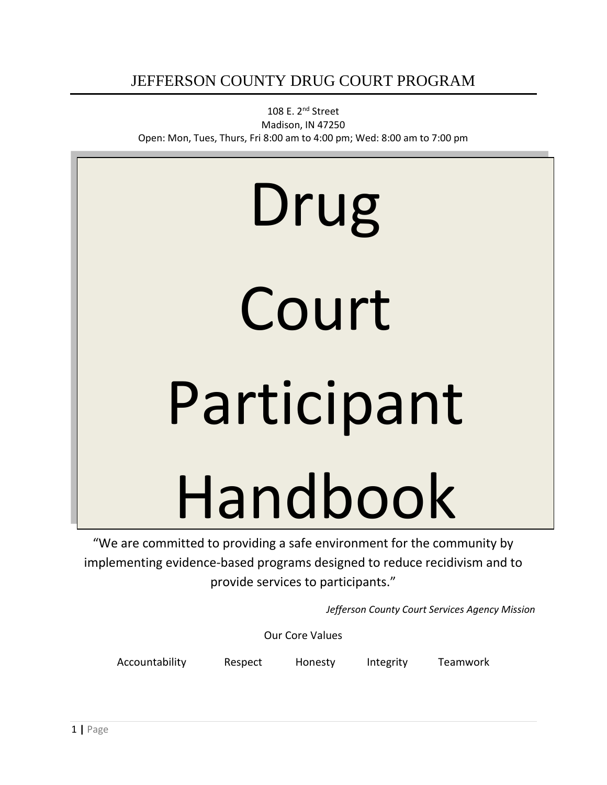## JEFFERSON COUNTY DRUG COURT PROGRAM

108 E. 2nd Street Madison, IN 47250 Open: Mon, Tues, Thurs, Fri 8:00 am to 4:00 pm; Wed: 8:00 am to 7:00 pm

# Drug Court Participant Handbook

"We are committed to providing a safe environment for the community by implementing evidence-based programs designed to reduce recidivism and to provide services to participants."

*Jefferson County Court Services Agency Mission*

Our Core Values

Accountability Respect Honesty Integrity Teamwork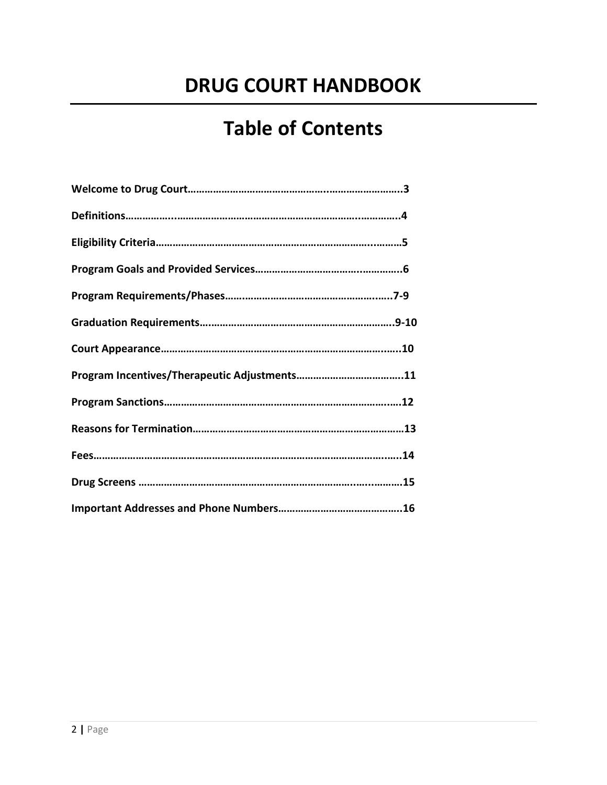# **DRUG COURT HANDBOOK**

# **Table of Contents**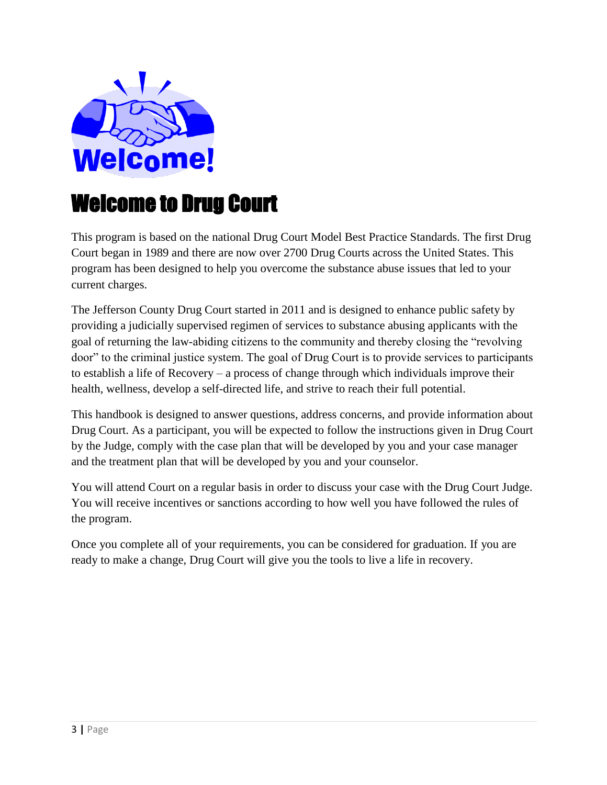

# Welcome to Drug Court

This program is based on the national Drug Court Model Best Practice Standards. The first Drug Court began in 1989 and there are now over 2700 Drug Courts across the United States. This program has been designed to help you overcome the substance abuse issues that led to your current charges.

The Jefferson County Drug Court started in 2011 and is designed to enhance public safety by providing a judicially supervised regimen of services to substance abusing applicants with the goal of returning the law-abiding citizens to the community and thereby closing the "revolving door" to the criminal justice system. The goal of Drug Court is to provide services to participants to establish a life of Recovery – a process of change through which individuals improve their health, wellness, develop a self-directed life, and strive to reach their full potential.

This handbook is designed to answer questions, address concerns, and provide information about Drug Court. As a participant, you will be expected to follow the instructions given in Drug Court by the Judge, comply with the case plan that will be developed by you and your case manager and the treatment plan that will be developed by you and your counselor.

You will attend Court on a regular basis in order to discuss your case with the Drug Court Judge. You will receive incentives or sanctions according to how well you have followed the rules of the program.

Once you complete all of your requirements, you can be considered for graduation. If you are ready to make a change, Drug Court will give you the tools to live a life in recovery.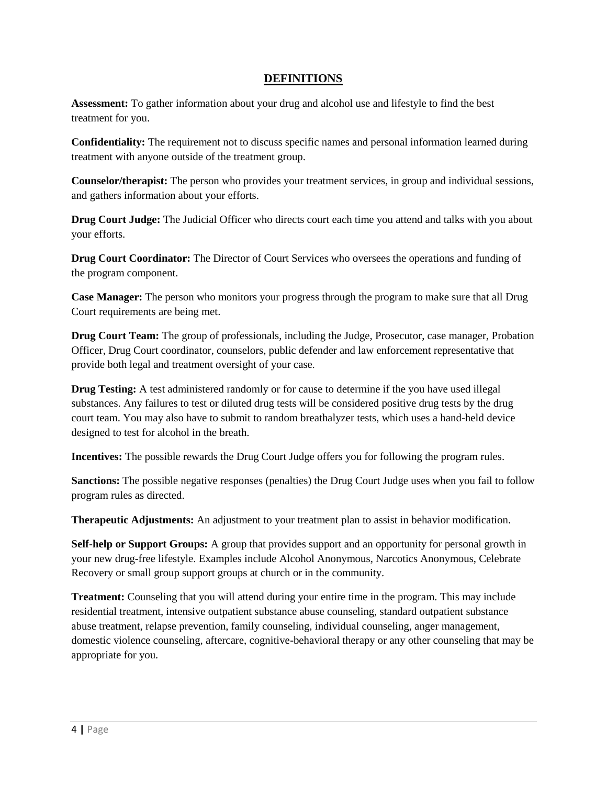#### **DEFINITIONS**

**Assessment:** To gather information about your drug and alcohol use and lifestyle to find the best treatment for you.

**Confidentiality:** The requirement not to discuss specific names and personal information learned during treatment with anyone outside of the treatment group.

**Counselor/therapist:** The person who provides your treatment services, in group and individual sessions, and gathers information about your efforts.

**Drug Court Judge:** The Judicial Officer who directs court each time you attend and talks with you about your efforts.

**Drug Court Coordinator:** The Director of Court Services who oversees the operations and funding of the program component.

**Case Manager:** The person who monitors your progress through the program to make sure that all Drug Court requirements are being met.

**Drug Court Team:** The group of professionals, including the Judge, Prosecutor, case manager, Probation Officer, Drug Court coordinator, counselors, public defender and law enforcement representative that provide both legal and treatment oversight of your case.

**Drug Testing:** A test administered randomly or for cause to determine if the you have used illegal substances. Any failures to test or diluted drug tests will be considered positive drug tests by the drug court team. You may also have to submit to random breathalyzer tests, which uses a hand-held device designed to test for alcohol in the breath.

**Incentives:** The possible rewards the Drug Court Judge offers you for following the program rules.

**Sanctions:** The possible negative responses (penalties) the Drug Court Judge uses when you fail to follow program rules as directed.

**Therapeutic Adjustments:** An adjustment to your treatment plan to assist in behavior modification.

**Self-help or Support Groups:** A group that provides support and an opportunity for personal growth in your new drug-free lifestyle. Examples include Alcohol Anonymous, Narcotics Anonymous, Celebrate Recovery or small group support groups at church or in the community.

**Treatment:** Counseling that you will attend during your entire time in the program. This may include residential treatment, intensive outpatient substance abuse counseling, standard outpatient substance abuse treatment, relapse prevention, family counseling, individual counseling, anger management, domestic violence counseling, aftercare, cognitive-behavioral therapy or any other counseling that may be appropriate for you.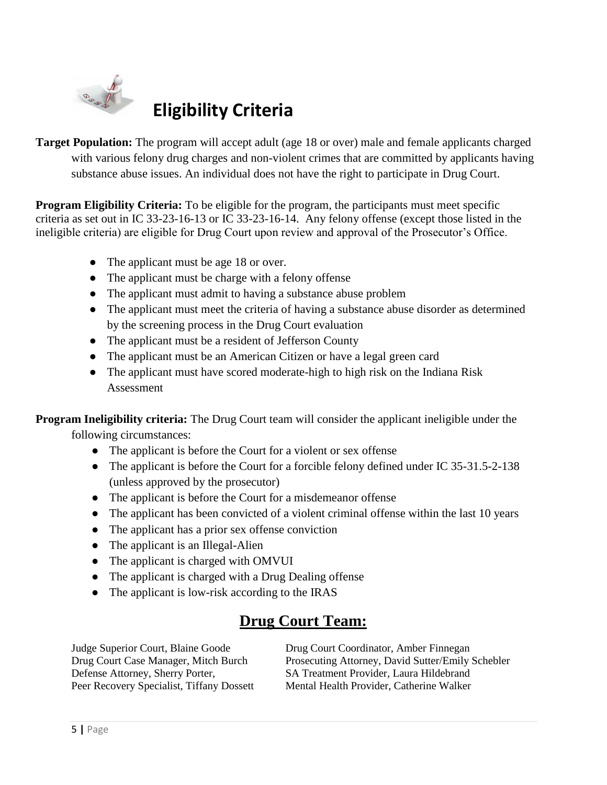

# **Eligibility Criteria**

**Target Population:** The program will accept adult (age 18 or over) male and female applicants charged with various felony drug charges and non-violent crimes that are committed by applicants having substance abuse issues. An individual does not have the right to participate in Drug Court.

**Program Eligibility Criteria:** To be eligible for the program, the participants must meet specific criteria as set out in IC 33-23-16-13 or IC 33-23-16-14. Any felony offense (except those listed in the ineligible criteria) are eligible for Drug Court upon review and approval of the Prosecutor's Office.

- The applicant must be age 18 or over.
- The applicant must be charge with a felony offense
- The applicant must admit to having a substance abuse problem
- The applicant must meet the criteria of having a substance abuse disorder as determined by the screening process in the Drug Court evaluation
- The applicant must be a resident of Jefferson County
- The applicant must be an American Citizen or have a legal green card
- The applicant must have scored moderate-high to high risk on the Indiana Risk Assessment

**Program Ineligibility criteria:** The Drug Court team will consider the applicant ineligible under the

following circumstances:

- The applicant is before the Court for a violent or sex offense
- The applicant is before the Court for a forcible felony defined under IC 35-31.5-2-138 (unless approved by the prosecutor)
- The applicant is before the Court for a misdemeanor offense
- The applicant has been convicted of a violent criminal offense within the last 10 years
- The applicant has a prior sex offense conviction
- The applicant is an Illegal-Alien
- The applicant is charged with OMVUI
- The applicant is charged with a Drug Dealing offense
- The applicant is low-risk according to the IRAS

# **Drug Court Team:**

Judge Superior Court, Blaine Goode Drug Court Coordinator, Amber Finnegan

Drug Court Case Manager, Mitch Burch Prosecuting Attorney, David Sutter/Emily Schebler Defense Attorney, Sherry Porter, SA Treatment Provider, Laura Hildebrand Peer Recovery Specialist, Tiffany Dossett Mental Health Provider, Catherine Walker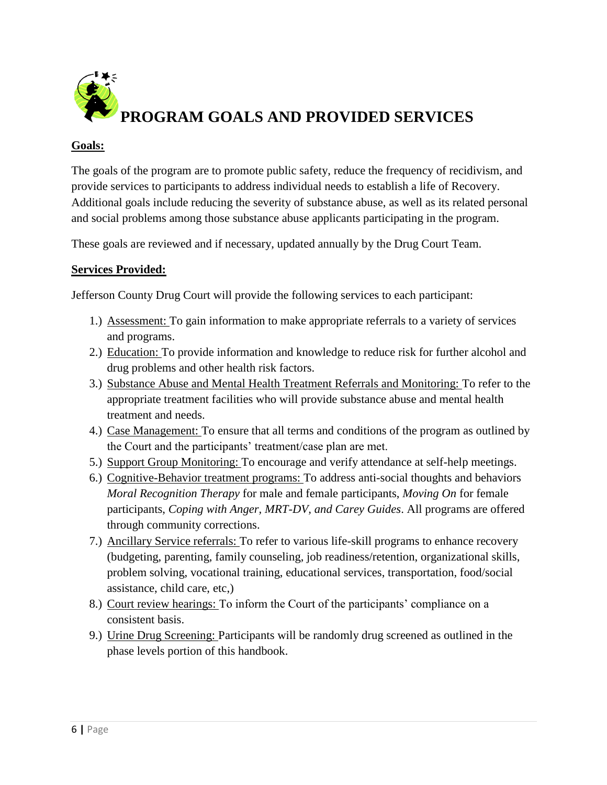

### **Goals:**

The goals of the program are to promote public safety, reduce the frequency of recidivism, and provide services to participants to address individual needs to establish a life of Recovery. Additional goals include reducing the severity of substance abuse, as well as its related personal and social problems among those substance abuse applicants participating in the program.

These goals are reviewed and if necessary, updated annually by the Drug Court Team.

#### **Services Provided:**

Jefferson County Drug Court will provide the following services to each participant:

- 1.) Assessment: To gain information to make appropriate referrals to a variety of services and programs.
- 2.) Education: To provide information and knowledge to reduce risk for further alcohol and drug problems and other health risk factors.
- 3.) Substance Abuse and Mental Health Treatment Referrals and Monitoring: To refer to the appropriate treatment facilities who will provide substance abuse and mental health treatment and needs.
- 4.) Case Management: To ensure that all terms and conditions of the program as outlined by the Court and the participants' treatment/case plan are met.
- 5.) Support Group Monitoring: To encourage and verify attendance at self-help meetings.
- 6.) Cognitive-Behavior treatment programs: To address anti-social thoughts and behaviors *Moral Recognition Therapy* for male and female participants, *Moving On* for female participants, *Coping with Anger, MRT-DV, and Carey Guides*. All programs are offered through community corrections.
- 7.) Ancillary Service referrals: To refer to various life-skill programs to enhance recovery (budgeting, parenting, family counseling, job readiness/retention, organizational skills, problem solving, vocational training, educational services, transportation, food/social assistance, child care, etc,)
- 8.) Court review hearings: To inform the Court of the participants' compliance on a consistent basis.
- 9.) Urine Drug Screening: Participants will be randomly drug screened as outlined in the phase levels portion of this handbook.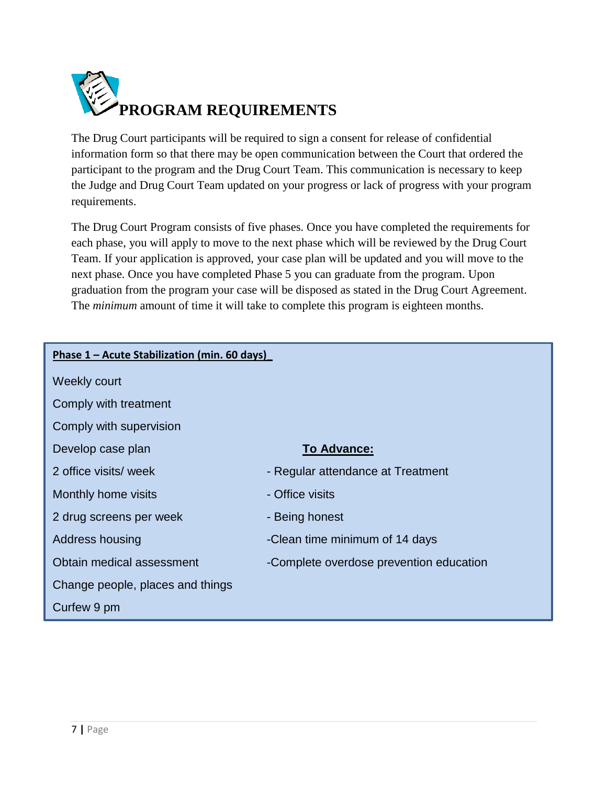

The Drug Court participants will be required to sign a consent for release of confidential information form so that there may be open communication between the Court that ordered the participant to the program and the Drug Court Team. This communication is necessary to keep the Judge and Drug Court Team updated on your progress or lack of progress with your program requirements.

The Drug Court Program consists of five phases. Once you have completed the requirements for each phase, you will apply to move to the next phase which will be reviewed by the Drug Court Team. If your application is approved, your case plan will be updated and you will move to the next phase. Once you have completed Phase 5 you can graduate from the program. Upon graduation from the program your case will be disposed as stated in the Drug Court Agreement. The *minimum* amount of time it will take to complete this program is eighteen months.

| Phase 1 - Acute Stabilization (min. 60 days) |                                         |  |  |
|----------------------------------------------|-----------------------------------------|--|--|
| Weekly court                                 |                                         |  |  |
| Comply with treatment                        |                                         |  |  |
| Comply with supervision                      |                                         |  |  |
| Develop case plan                            | <b>To Advance:</b>                      |  |  |
| 2 office visits/ week                        | - Regular attendance at Treatment       |  |  |
| Monthly home visits                          | - Office visits                         |  |  |
| 2 drug screens per week                      | - Being honest                          |  |  |
| Address housing                              | -Clean time minimum of 14 days          |  |  |
| Obtain medical assessment                    | -Complete overdose prevention education |  |  |
| Change people, places and things             |                                         |  |  |
| Curfew 9 pm                                  |                                         |  |  |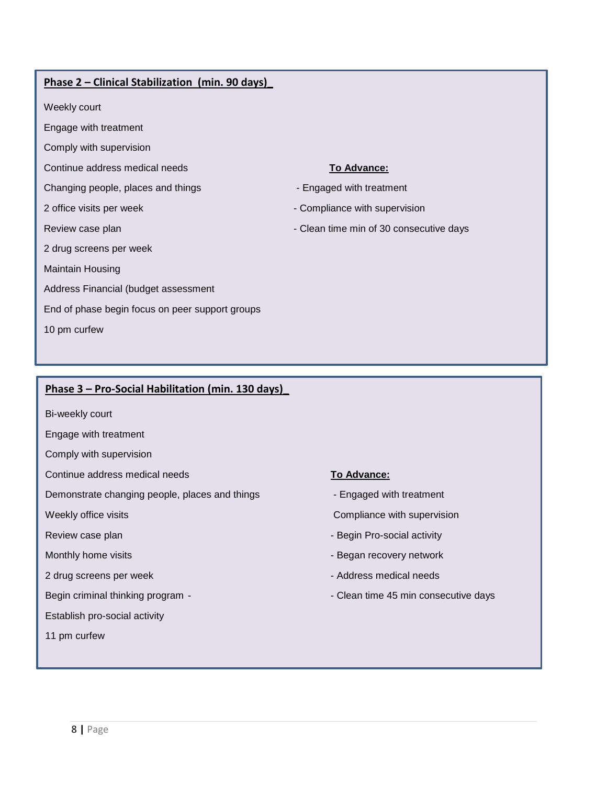#### **Phase 2 – Clinical Stabilization (min. 90 days)\_**

Weekly court

Engage with treatment

Comply with supervision

Continue address medical needs **TO Advance: To Advance: TO Advance: TO Advance: TO Advance: T**O Advance: **T**O Advance: **T**O Advance: **T**O Advance: **T**O Advance: **T**O Advance: **T**O Advance: **T**O Advance: **T**O Ad

Changing people, places and things - The Changing people, places and things - Engaged with treatment

2 drug screens per week

Maintain Housing

Address Financial (budget assessment

End of phase begin focus on peer support groups

10 pm curfew

- 2 office visits per week  $\sim$  Compliance with supervision
- Review case plan  $\blacksquare$  The consecutive days  $\blacksquare$  Clean time min of 30 consecutive days

#### **Phase 3 – Pro-Social Habilitation (min. 130 days)\_**

Bi-weekly court

Engage with treatment

Comply with supervision

Continue address medical needs **To Advance: To Advance:** 

Demonstrate changing people, places and things - Figaged with treatment

2 drug screens per week - Address medical needs - Address medical needs

Establish pro-social activity

11 pm curfew

- 
- Weekly office visits **Compliance with supervision Compliance with supervision**
- Review case plan Begin Pro-social activity
- Monthly home visits  $\blacksquare$ 
	-
- Begin criminal thinking program  $\blacksquare$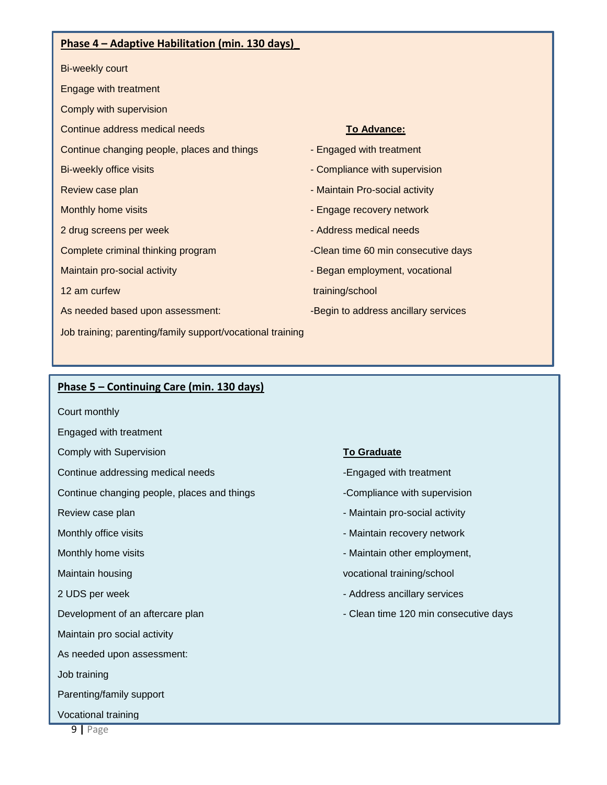#### **Phase 4 – Adaptive Habilitation (min. 130 days)\_**

Bi-weekly court

- Engage with treatment
- Comply with supervision

**Continue address medical needs To Advance: To Advance:** 

Continue changing people, places and things - Figaged with treatment

- 
- 
- 
- 
- 
- 
- As needed based upon assessment: - - - - Begin to address ancillary services
- Job training; parenting/family support/vocational training

- 
- Bi-weekly office visits  $\blacksquare$
- Review case plan Maintain Pro-social activity Maintain Pro-social activity
- Monthly home visits Engage recovery network
- 2 drug screens per week Address medical needs
- Complete criminal thinking program Clean time 60 min consecutive days
- Maintain pro-social activity Began employment, vocational

12 am curfew training/school training/school

#### **Phase 5 – Continuing Care (min. 130 days)**

- Court monthly
- Engaged with treatment
- **Comply with Supervision <b>To Graduate To Graduate**
- Continue addressing medical needs -Engaged with treatment
- Continue changing people, places and things -Compliance with supervision
- 
- 
- 
- 
- 
- 
- Maintain pro social activity
- As needed upon assessment:
- Job training
- Parenting/family support
- Vocational training

- 
- 
- Review case plan  $\blacksquare$  Maintain pro-social activity
- Monthly office visits  $\blacksquare$
- Monthly home visits  $\blacksquare$
- Maintain housing vocational training/school
- 2 UDS per week  $\sim$  Address ancillary services
- Development of an aftercare plan Clean time 120 min consecutive days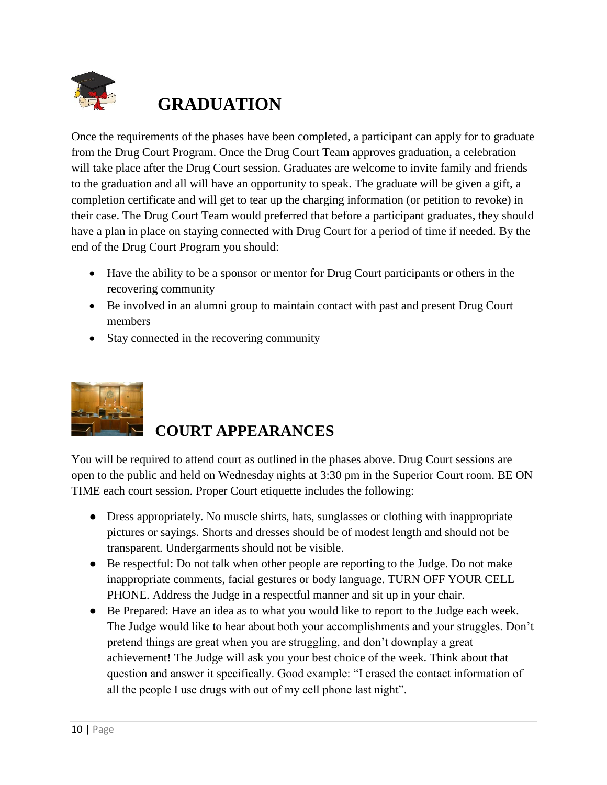

# **GRADUATION**

Once the requirements of the phases have been completed, a participant can apply for to graduate from the Drug Court Program. Once the Drug Court Team approves graduation, a celebration will take place after the Drug Court session. Graduates are welcome to invite family and friends to the graduation and all will have an opportunity to speak. The graduate will be given a gift, a completion certificate and will get to tear up the charging information (or petition to revoke) in their case. The Drug Court Team would preferred that before a participant graduates, they should have a plan in place on staying connected with Drug Court for a period of time if needed. By the end of the Drug Court Program you should:

- Have the ability to be a sponsor or mentor for Drug Court participants or others in the recovering community
- Be involved in an alumni group to maintain contact with past and present Drug Court members
- Stay connected in the recovering community



# **COURT APPEARANCES**

You will be required to attend court as outlined in the phases above. Drug Court sessions are open to the public and held on Wednesday nights at 3:30 pm in the Superior Court room. BE ON TIME each court session. Proper Court etiquette includes the following:

- Dress appropriately. No muscle shirts, hats, sunglasses or clothing with inappropriate pictures or sayings. Shorts and dresses should be of modest length and should not be transparent. Undergarments should not be visible.
- Be respectful: Do not talk when other people are reporting to the Judge. Do not make inappropriate comments, facial gestures or body language. TURN OFF YOUR CELL PHONE. Address the Judge in a respectful manner and sit up in your chair.
- Be Prepared: Have an idea as to what you would like to report to the Judge each week. The Judge would like to hear about both your accomplishments and your struggles. Don't pretend things are great when you are struggling, and don't downplay a great achievement! The Judge will ask you your best choice of the week. Think about that question and answer it specifically. Good example: "I erased the contact information of all the people I use drugs with out of my cell phone last night".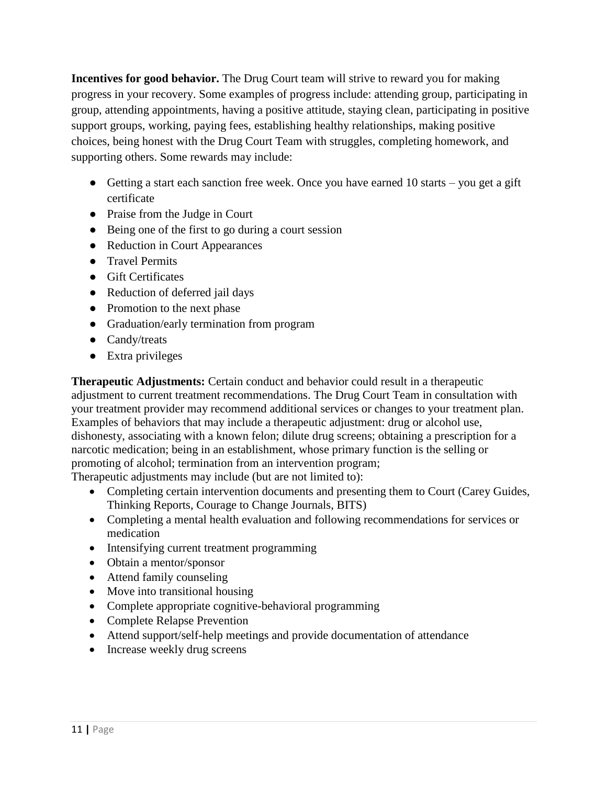**Incentives for good behavior.** The Drug Court team will strive to reward you for making progress in your recovery. Some examples of progress include: attending group, participating in group, attending appointments, having a positive attitude, staying clean, participating in positive support groups, working, paying fees, establishing healthy relationships, making positive choices, being honest with the Drug Court Team with struggles, completing homework, and supporting others. Some rewards may include:

- $\bullet$  Getting a start each sanction free week. Once you have earned 10 starts you get a gift certificate
- Praise from the Judge in Court
- Being one of the first to go during a court session
- Reduction in Court Appearances
- Travel Permits
- Gift Certificates
- Reduction of deferred jail days
- Promotion to the next phase
- Graduation/early termination from program
- Candy/treats
- Extra privileges

**Therapeutic Adjustments:** Certain conduct and behavior could result in a therapeutic adjustment to current treatment recommendations. The Drug Court Team in consultation with your treatment provider may recommend additional services or changes to your treatment plan. Examples of behaviors that may include a therapeutic adjustment: drug or alcohol use, dishonesty, associating with a known felon; dilute drug screens; obtaining a prescription for a narcotic medication; being in an establishment, whose primary function is the selling or promoting of alcohol; termination from an intervention program;

Therapeutic adjustments may include (but are not limited to):

- Completing certain intervention documents and presenting them to Court (Carey Guides, Thinking Reports, Courage to Change Journals, BITS)
- Completing a mental health evaluation and following recommendations for services or medication
- Intensifying current treatment programming
- Obtain a mentor/sponsor
- Attend family counseling
- Move into transitional housing
- Complete appropriate cognitive-behavioral programming
- Complete Relapse Prevention
- Attend support/self-help meetings and provide documentation of attendance
- Increase weekly drug screens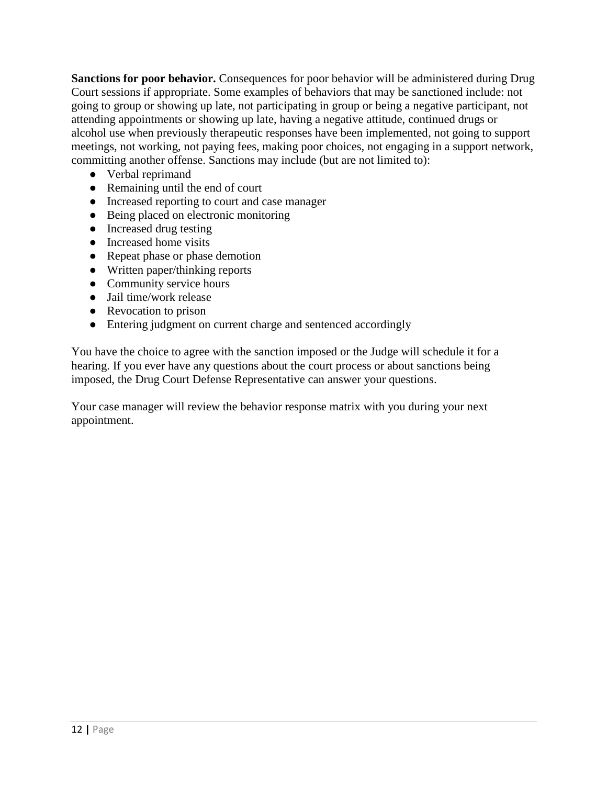**Sanctions for poor behavior.** Consequences for poor behavior will be administered during Drug Court sessions if appropriate. Some examples of behaviors that may be sanctioned include: not going to group or showing up late, not participating in group or being a negative participant, not attending appointments or showing up late, having a negative attitude, continued drugs or alcohol use when previously therapeutic responses have been implemented, not going to support meetings, not working, not paying fees, making poor choices, not engaging in a support network, committing another offense. Sanctions may include (but are not limited to):

- Verbal reprimand
- Remaining until the end of court
- Increased reporting to court and case manager
- Being placed on electronic monitoring
- Increased drug testing
- Increased home visits
- Repeat phase or phase demotion
- Written paper/thinking reports
- Community service hours
- Jail time/work release
- Revocation to prison
- Entering judgment on current charge and sentenced accordingly

You have the choice to agree with the sanction imposed or the Judge will schedule it for a hearing. If you ever have any questions about the court process or about sanctions being imposed, the Drug Court Defense Representative can answer your questions.

Your case manager will review the behavior response matrix with you during your next appointment.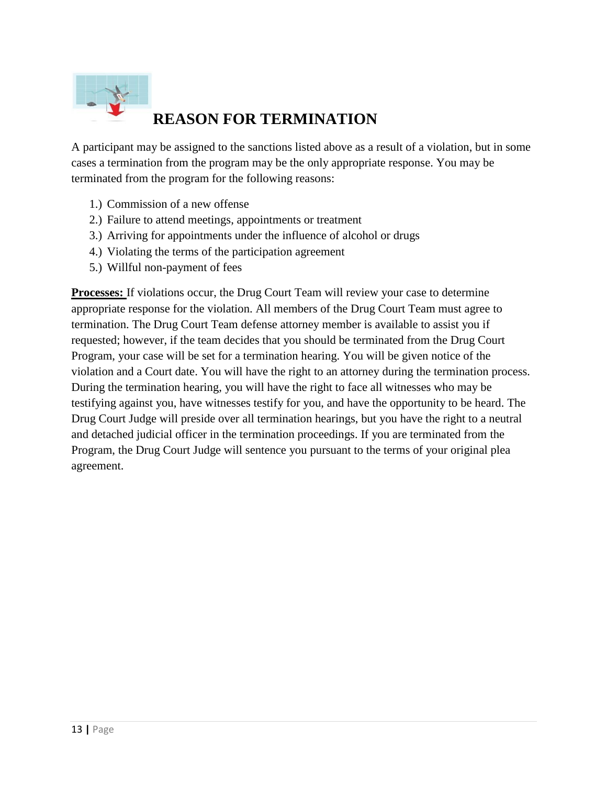

# **REASON FOR TERMINATION**

A participant may be assigned to the sanctions listed above as a result of a violation, but in some cases a termination from the program may be the only appropriate response. You may be terminated from the program for the following reasons:

- 1.) Commission of a new offense
- 2.) Failure to attend meetings, appointments or treatment
- 3.) Arriving for appointments under the influence of alcohol or drugs
- 4.) Violating the terms of the participation agreement
- 5.) Willful non-payment of fees

**Processes:** If violations occur, the Drug Court Team will review your case to determine appropriate response for the violation. All members of the Drug Court Team must agree to termination. The Drug Court Team defense attorney member is available to assist you if requested; however, if the team decides that you should be terminated from the Drug Court Program, your case will be set for a termination hearing. You will be given notice of the violation and a Court date. You will have the right to an attorney during the termination process. During the termination hearing, you will have the right to face all witnesses who may be testifying against you, have witnesses testify for you, and have the opportunity to be heard. The Drug Court Judge will preside over all termination hearings, but you have the right to a neutral and detached judicial officer in the termination proceedings. If you are terminated from the Program, the Drug Court Judge will sentence you pursuant to the terms of your original plea agreement.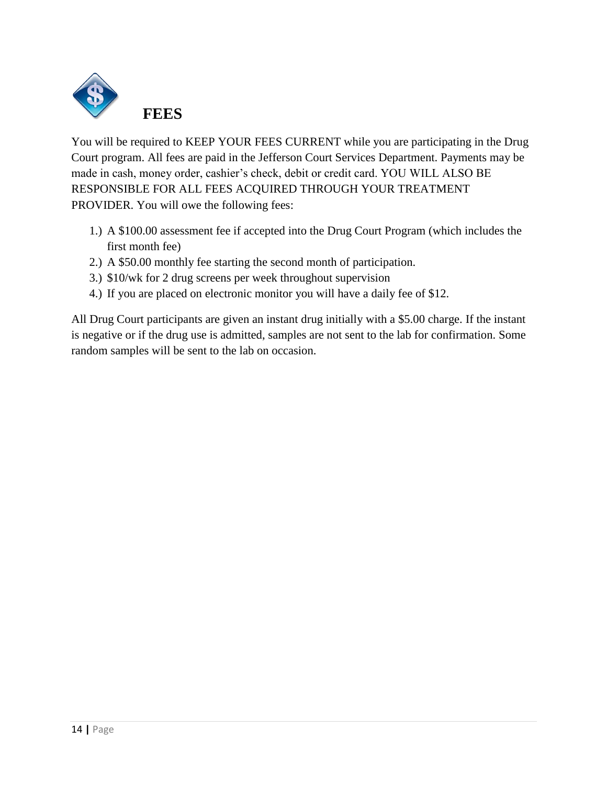

You will be required to KEEP YOUR FEES CURRENT while you are participating in the Drug Court program. All fees are paid in the Jefferson Court Services Department. Payments may be made in cash, money order, cashier's check, debit or credit card. YOU WILL ALSO BE RESPONSIBLE FOR ALL FEES ACQUIRED THROUGH YOUR TREATMENT PROVIDER. You will owe the following fees:

- 1.) A \$100.00 assessment fee if accepted into the Drug Court Program (which includes the first month fee)
- 2.) A \$50.00 monthly fee starting the second month of participation.
- 3.) \$10/wk for 2 drug screens per week throughout supervision
- 4.) If you are placed on electronic monitor you will have a daily fee of \$12.

All Drug Court participants are given an instant drug initially with a \$5.00 charge. If the instant is negative or if the drug use is admitted, samples are not sent to the lab for confirmation. Some random samples will be sent to the lab on occasion.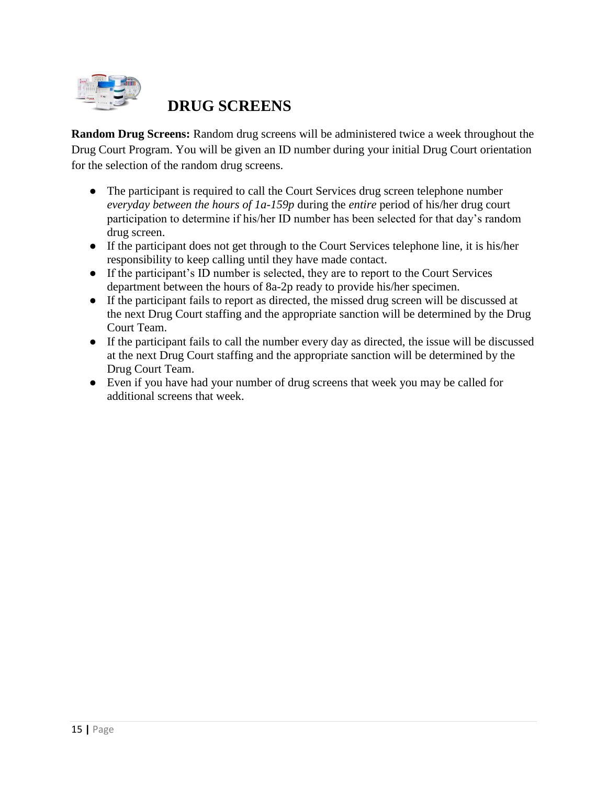

# **DRUG SCREENS**

**Random Drug Screens:** Random drug screens will be administered twice a week throughout the Drug Court Program. You will be given an ID number during your initial Drug Court orientation for the selection of the random drug screens.

- The participant is required to call the Court Services drug screen telephone number *everyday between the hours of 1a-159p* during the *entire* period of his/her drug court participation to determine if his/her ID number has been selected for that day's random drug screen.
- If the participant does not get through to the Court Services telephone line, it is his/her responsibility to keep calling until they have made contact.
- If the participant's ID number is selected, they are to report to the Court Services department between the hours of 8a-2p ready to provide his/her specimen.
- If the participant fails to report as directed, the missed drug screen will be discussed at the next Drug Court staffing and the appropriate sanction will be determined by the Drug Court Team.
- If the participant fails to call the number every day as directed, the issue will be discussed at the next Drug Court staffing and the appropriate sanction will be determined by the Drug Court Team.
- Even if you have had your number of drug screens that week you may be called for additional screens that week.